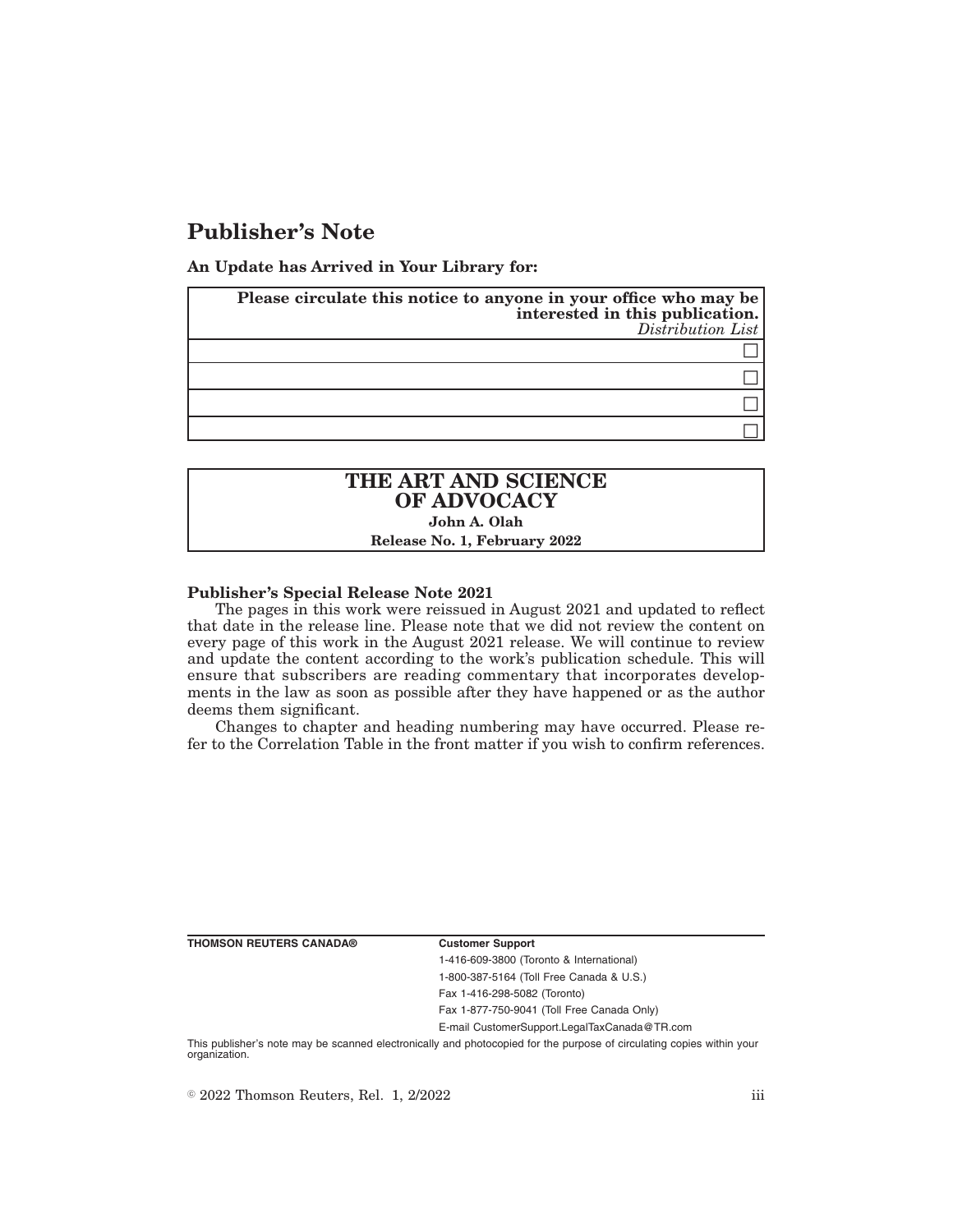## **Publisher's Note**

**An Update has Arrived in Your Library for:**

| Please circulate this notice to anyone in your office who may be<br>interested in this publication. | $Distribution$ <i>List</i> |
|-----------------------------------------------------------------------------------------------------|----------------------------|
|                                                                                                     |                            |
|                                                                                                     |                            |
|                                                                                                     |                            |
|                                                                                                     |                            |

## **THE ART AND SCIENCE OF ADVOCACY John A. Olah Release No. 1, February 2022**

# **Publisher's Special Release Note 2021**

The pages in this work were reissued in August 2021 and updated to reflect that date in the release line. Please note that we did not review the content on every page of this work in the August 2021 release. We will continue to review and update the content according to the work's publication schedule. This will ensure that subscribers are reading commentary that incorporates developments in the law as soon as possible after they have happened or as the author deems them significant.

Changes to chapter and heading numbering may have occurred. Please refer to the Correlation Table in the front matter if you wish to confirm references.

**THOMSON REUTERS CANADA® Customer Support**

1-416-609-3800 (Toronto & International) 1-800-387-5164 (Toll Free Canada & U.S.) Fax 1-416-298-5082 (Toronto)

Fax 1-877-750-9041 (Toll Free Canada Only)

E-mail CustomerSupport.LegalTaxCanada@TR.com

This publisher's note may be scanned electronically and photocopied for the purpose of circulating copies within your organization.

 $\degree$  2022 Thomson Reuters, Rel. 1, 2/2022 iii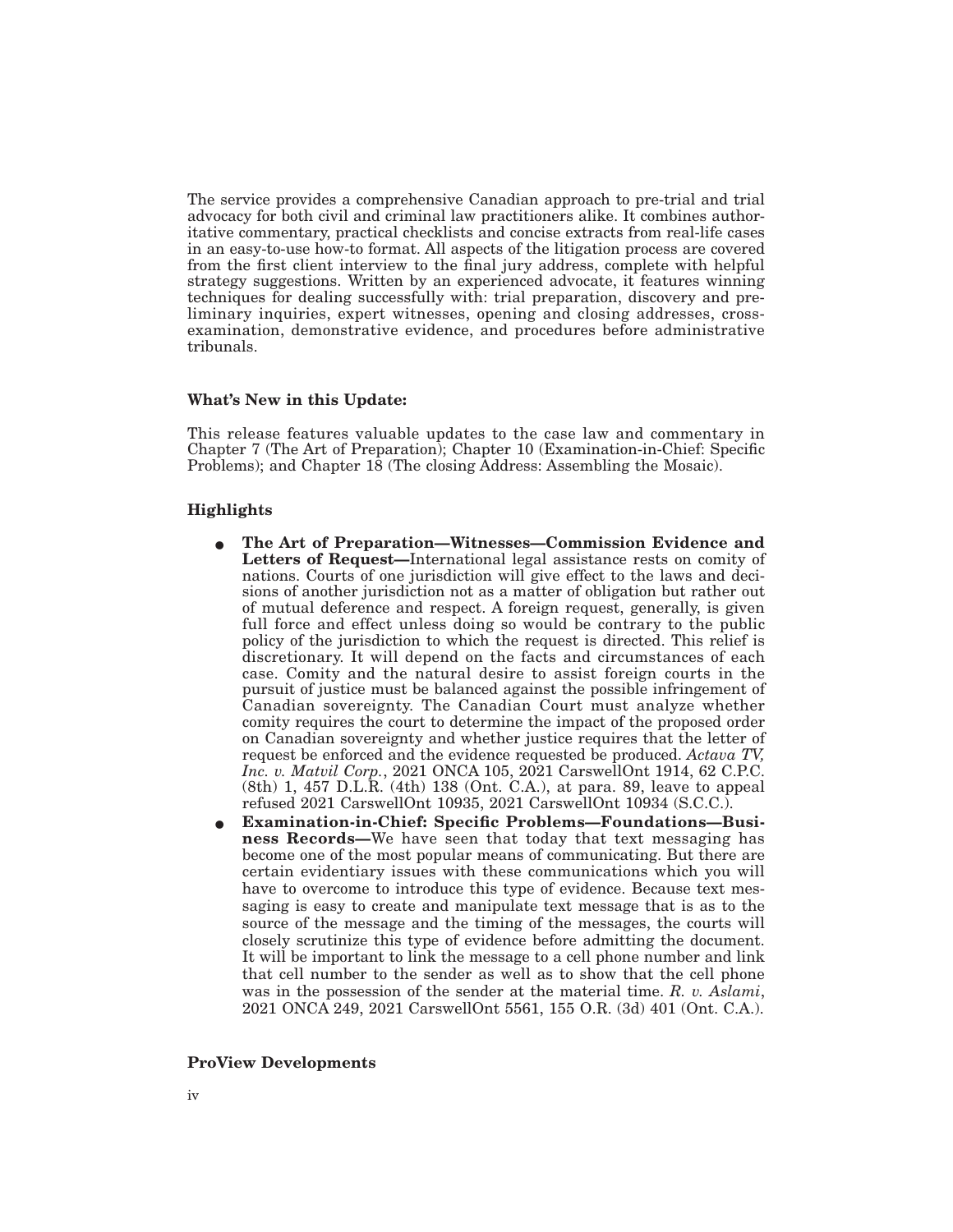The service provides a comprehensive Canadian approach to pre-trial and trial advocacy for both civil and criminal law practitioners alike. It combines authoritative commentary, practical checklists and concise extracts from real-life cases in an easy-to-use how-to format. All aspects of the litigation process are covered from the first client interview to the final jury address, complete with helpful strategy suggestions. Written by an experienced advocate, it features winning techniques for dealing successfully with: trial preparation, discovery and preliminary inquiries, expert witnesses, opening and closing addresses, crossexamination, demonstrative evidence, and procedures before administrative tribunals.

### **What's New in this Update:**

This release features valuable updates to the case law and commentary in Chapter 7 (The Art of Preparation); Chapter 10 (Examination-in-Chief: Specific Problems); and Chapter 18 (The closing Address: Assembling the Mosaic).

### **Highlights**

- E **The Art of Preparation—Witnesses—Commission Evidence and Letters of Request—**International legal assistance rests on comity of nations. Courts of one jurisdiction will give effect to the laws and decisions of another jurisdiction not as a matter of obligation but rather out of mutual deference and respect. A foreign request, generally, is given full force and effect unless doing so would be contrary to the public policy of the jurisdiction to which the request is directed. This relief is discretionary. It will depend on the facts and circumstances of each case. Comity and the natural desire to assist foreign courts in the pursuit of justice must be balanced against the possible infringement of Canadian sovereignty. The Canadian Court must analyze whether comity requires the court to determine the impact of the proposed order on Canadian sovereignty and whether justice requires that the letter of request be enforced and the evidence requested be produced. *Actava TV, Inc. v. Matvil Corp.*, 2021 ONCA 105, 2021 CarswellOnt 1914, 62 C.P.C. (8th) 1, 457 D.L.R. (4th) 138 (Ont. C.A.), at para. 89, leave to appeal refused 2021 CarswellOnt 10935, 2021 CarswellOnt 10934 (S.C.C.).
- Examination-in-Chief: Specific Problems-Foundations-Business Records-We have seen that today that text messaging has become one of the most popular means of communicating. But there are certain evidentiary issues with these communications which you will have to overcome to introduce this type of evidence. Because text messaging is easy to create and manipulate text message that is as to the source of the message and the timing of the messages, the courts will closely scrutinize this type of evidence before admitting the document. It will be important to link the message to a cell phone number and link that cell number to the sender as well as to show that the cell phone was in the possession of the sender at the material time. *R. v. Aslami*, 2021 ONCA 249, 2021 CarswellOnt 5561, 155 O.R. (3d) 401 (Ont. C.A.).

### **ProView Developments**